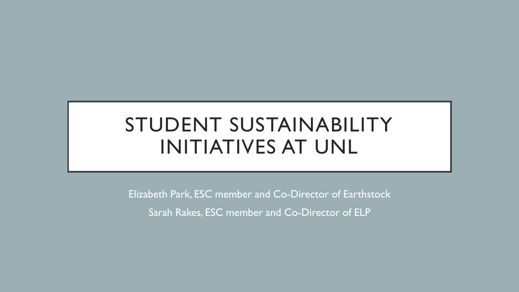## STUDENT SUSTAINABILITY INITIATIVES AT UNL

Elizabeth Park, ESC member and Co-Director of Earthstock

Sarah Rakes, ESC member and Co-Director of ELP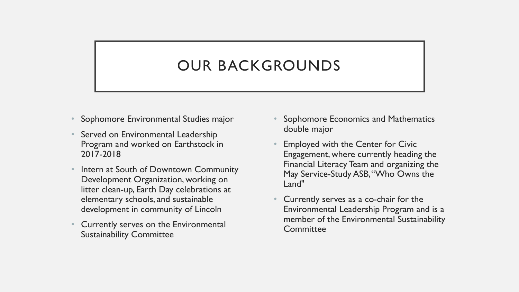## OUR BACKGROUNDS

- Sophomore Environmental Studies major
- Served on Environmental Leadership Program and worked on Earthstock in 2017-2018
- Intern at South of Downtown Community Development Organization, working on litter clean-up, Earth Day celebrations at elementary schools, and sustainable development in community of Lincoln
- Currently serves on the Environmental Sustainability Committee
- Sophomore Economics and Mathematics double major
- Employed with the Center for Civic Engagement, where currently heading the Financial Literacy Team and organizing the May Service-Study ASB, "Who Owns the Land"
- Currently serves as a co-chair for the Environmental Leadership Program and is a member of the Environmental Sustainability **Committee**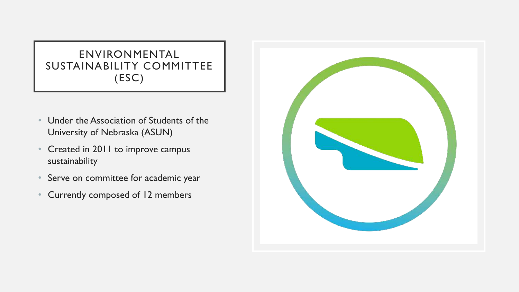### ENVIRONMENTAL SUSTAINABILITY COMMITTEE (ESC)

- Under the Association of Students of the University of Nebraska (ASUN)
- Created in 2011 to improve campus sustainability
- Serve on committee for academic year
- Currently composed of 12 members

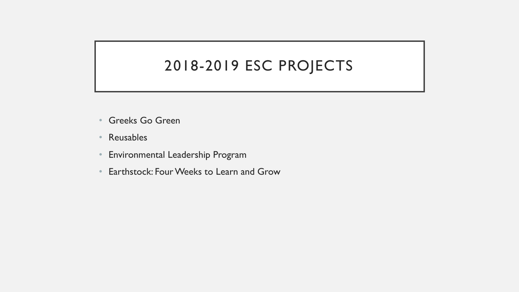### 2018-2019 ESC PROJECTS

- Greeks Go Green
- Reusables
- Environmental Leadership Program
- Earthstock: Four Weeks to Learn and Grow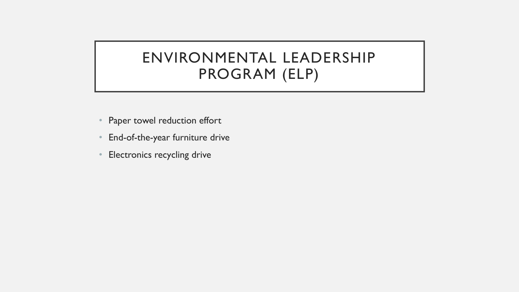### ENVIRONMENTAL LEADERSHIP PROGRAM (ELP)

- Paper towel reduction effort
- End-of-the-year furniture drive
- Electronics recycling drive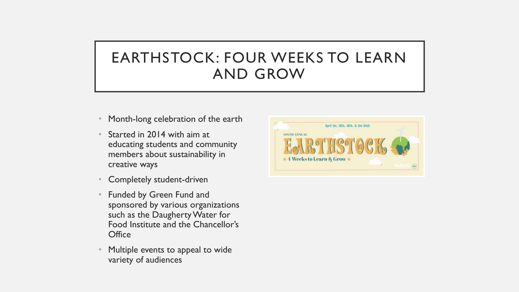## EARTHSTOCK: FOUR WEEKS TO LEARN AND GROW

- Month-long celebration of the earth
- Started in 2014 with aim at educating students and community members about sustainability in creative ways
- Completely student-driven
- Funded by Green Fund and sponsored by various organizations such as the Daugherty Water for Food Institute and the Chancellor's **Office**
- Multiple events to appeal to wide variety of audiences

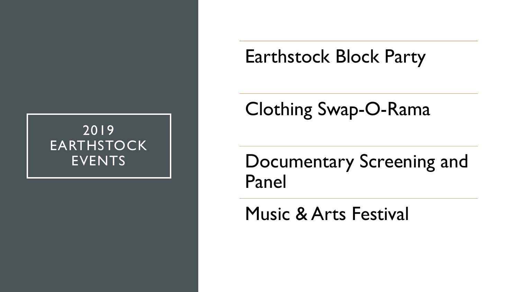### 2019 **EARTHSTOCK** EVENTS

# Earthstock Block Party

# Clothing Swap-O-Rama

Documentary Screening and Panel

Music & Arts Festival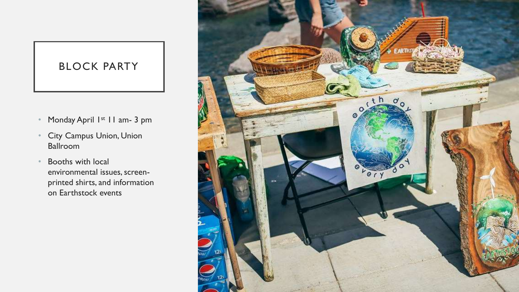### BLOCK PARTY

- Monday April 1st 11 am- 3 pm
- City Campus Union, Union Ballroom
- Booths with local environmental issues, screenprinted shirts, and information on Earthstock events

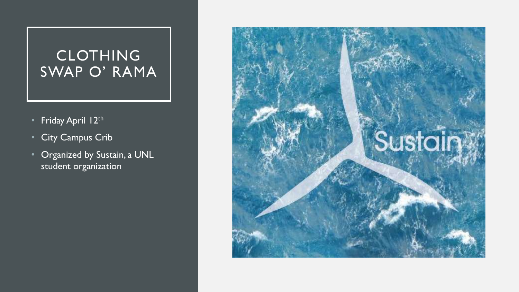### CLOTHING SWAP O' RAMA

- Friday April 12th
- City Campus Crib
- Organized by Sustain, a UNL student organization

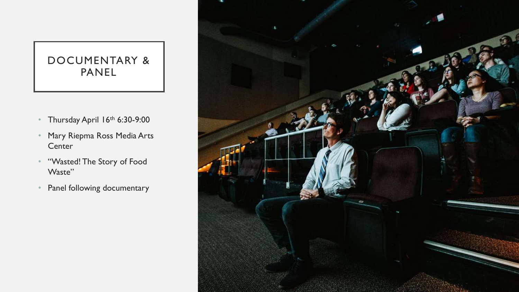#### DOCUMENTARY & PANEL

- Thursday April 16th 6:30-9:00
- Mary Riepma Ross Media Arts **Center**
- "Wasted! The Story of Food Waste"
- Panel following documentary

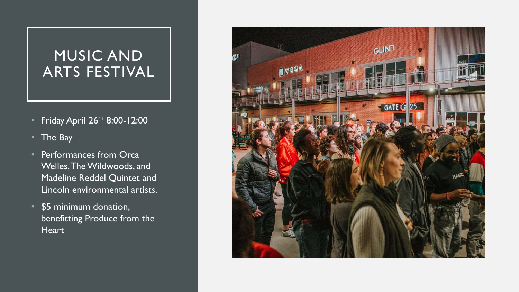### MUSIC AND ARTS FESTIVAL

- Friday April 26<sup>th</sup> 8:00-12:00
- The Bay
- Performances from Orca Welles, The Wildwoods, and Madeline Reddel Quintet and Lincoln environmental artists.
- \$5 minimum donation, benefitting Produce from the **Heart**

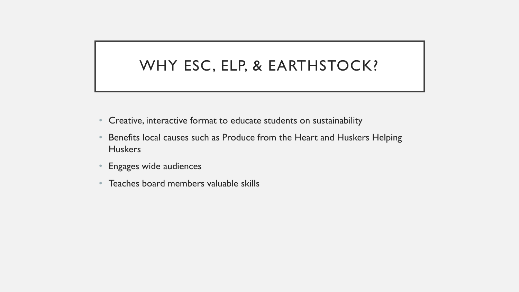### WHY ESC, ELP, & EARTHSTOCK?

- Creative, interactive format to educate students on sustainability
- Benefits local causes such as Produce from the Heart and Huskers Helping **Huskers**
- Engages wide audiences
- Teaches board members valuable skills